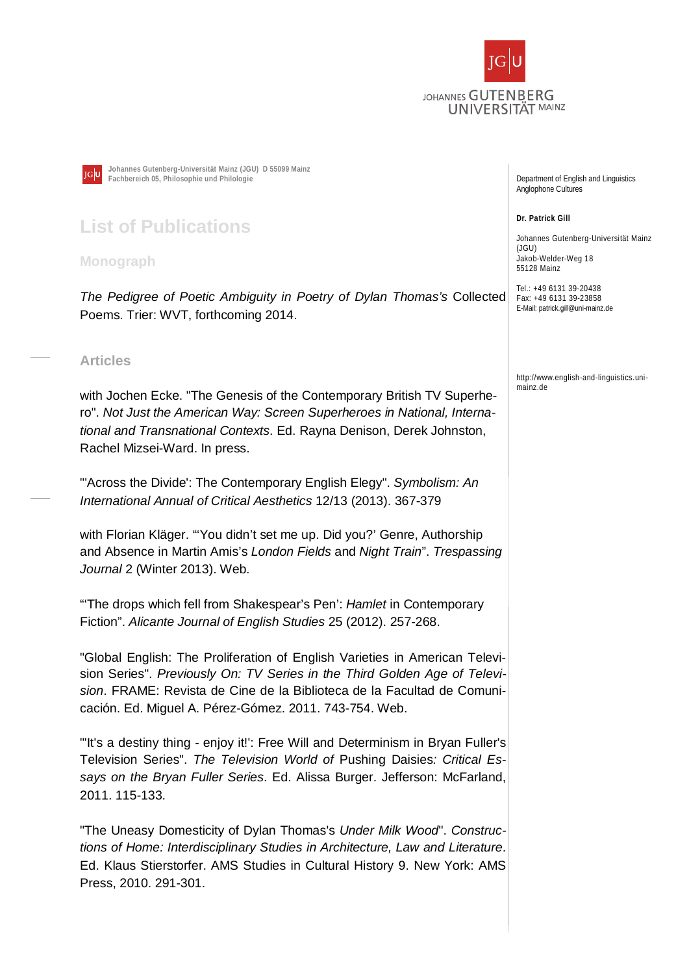



**Johannes Gutenberg-Universität Mainz (JGU) D 55099 Mainz Fachbereich 05, Philosophie und Philologie** 

## **List of Publications**

**Monograph** 

*The Pedigree of Poetic Ambiguity in Poetry of Dylan Thomas's* Collected Poems. Trier: WVT, forthcoming 2014.

## **Articles**

with Jochen Ecke. "The Genesis of the Contemporary British TV Superhero". *Not Just the American Way: Screen Superheroes in National, International and Transnational Contexts*. Ed. Rayna Denison, Derek Johnston, Rachel Mizsei-Ward. In press.

"'Across the Divide': The Contemporary English Elegy". *Symbolism: An International Annual of Critical Aesthetics* 12/13 (2013). 367-379

with Florian Kläger. "'You didn't set me up. Did you?' Genre, Authorship and Absence in Martin Amis's *London Fields* and *Night Train*". *Trespassing Journal* 2 (Winter 2013). Web.

"'The drops which fell from Shakespear's Pen': *Hamlet* in Contemporary Fiction". *Alicante Journal of English Studies* 25 (2012). 257-268.

"Global English: The Proliferation of English Varieties in American Television Series". *Previously On: TV Series in the Third Golden Age of Television*. FRAME: Revista de Cine de la Biblioteca de la Facultad de Comunicación. Ed. Miguel A. Pérez-Gómez. 2011. 743-754. Web.

"'It's a destiny thing - enjoy it!': Free Will and Determinism in Bryan Fuller's Television Series". *The Television World of* Pushing Daisies*: Critical Essays on the Bryan Fuller Series*. Ed. Alissa Burger. Jefferson: McFarland, 2011. 115-133.

"The Uneasy Domesticity of Dylan Thomas's *Under Milk Wood*". *Constructions of Home: Interdisciplinary Studies in Architecture, Law and Literature*. Ed. Klaus Stierstorfer. AMS Studies in Cultural History 9. New York: AMS Press, 2010. 291-301.

Department of English and Linguistics Anglophone Cultures

**Dr. Patrick Gill** 

Johannes Gutenberg-Universität Mainz (JGU) Jakob-Welder-Weg 18 55128 Mainz

Tel.: +49 6131 39-20438 Fax: +49 6131 39-23858 E-Mail: patrick.gill@uni-mainz.de

http://www.english-and-linguistics.unimainz de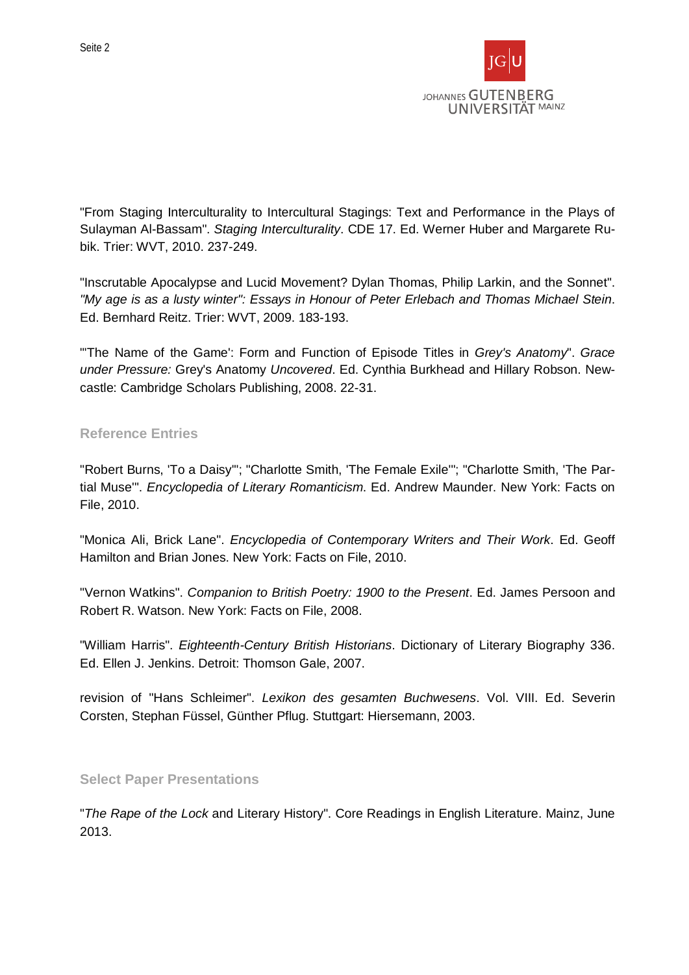

"From Staging Interculturality to Intercultural Stagings: Text and Performance in the Plays of Sulayman Al-Bassam". *Staging Interculturality*. CDE 17. Ed. Werner Huber and Margarete Rubik. Trier: WVT, 2010. 237-249.

"Inscrutable Apocalypse and Lucid Movement? Dylan Thomas, Philip Larkin, and the Sonnet". *"My age is as a lusty winter": Essays in Honour of Peter Erlebach and Thomas Michael Stein*. Ed. Bernhard Reitz. Trier: WVT, 2009. 183-193.

"'The Name of the Game': Form and Function of Episode Titles in *Grey's Anatomy*". *Grace under Pressure:* Grey's Anatomy *Uncovered*. Ed. Cynthia Burkhead and Hillary Robson. Newcastle: Cambridge Scholars Publishing, 2008. 22-31.

## **Reference Entries**

"Robert Burns, 'To a Daisy'"; "Charlotte Smith, 'The Female Exile'"; "Charlotte Smith, 'The Partial Muse'". *Encyclopedia of Literary Romanticism*. Ed. Andrew Maunder. New York: Facts on File, 2010.

"Monica Ali, Brick Lane". *Encyclopedia of Contemporary Writers and Their Work*. Ed. Geoff Hamilton and Brian Jones. New York: Facts on File, 2010.

"Vernon Watkins". *Companion to British Poetry: 1900 to the Present*. Ed. James Persoon and Robert R. Watson. New York: Facts on File, 2008.

"William Harris". *Eighteenth-Century British Historians*. Dictionary of Literary Biography 336. Ed. Ellen J. Jenkins. Detroit: Thomson Gale, 2007.

revision of "Hans Schleimer". *Lexikon des gesamten Buchwesens*. Vol. VIII. Ed. Severin Corsten, Stephan Füssel, Günther Pflug. Stuttgart: Hiersemann, 2003.

## **Select Paper Presentations**

"*The Rape of the Lock* and Literary History". Core Readings in English Literature. Mainz, June 2013.